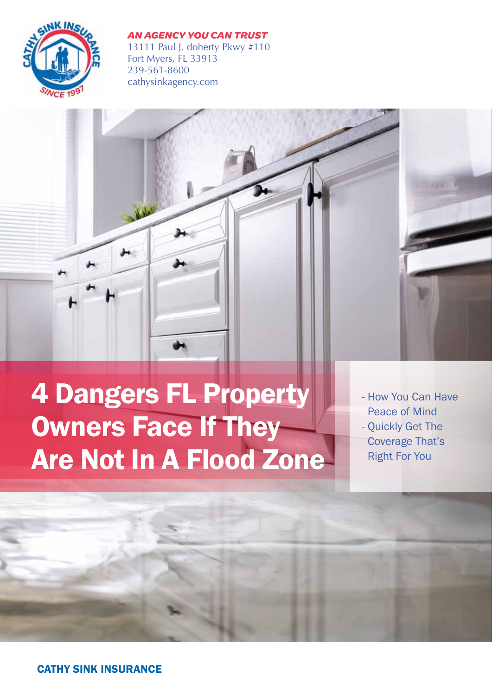

#### *AN AGENCY YOU CAN TRUST*

13111 Paul J. doherty Pkwy #110 Fort Myers, FL 33913 239-561-8600 cathysinkagency.com



4 Dangers FL Property Owners Face If They Are Not In A Flood Zone

- How You Can Have Peace of Mind - Quickly Get The Coverage That's Right For You

CATHY SINK INSURANCE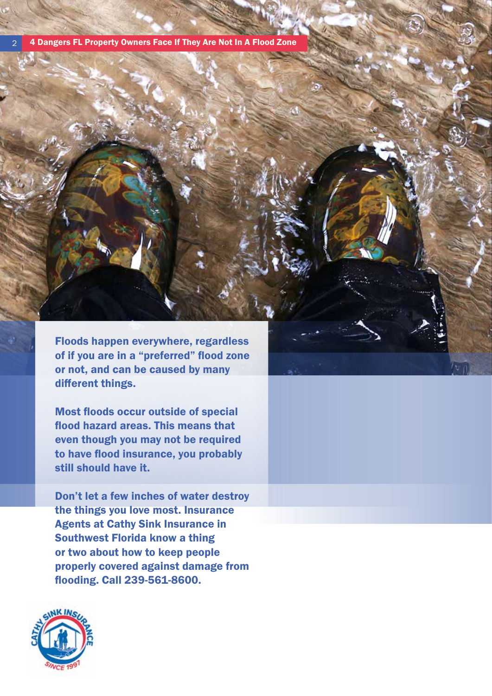2 4 Dangers FL Property Owners Face If They Are Not In A Flood Zone

Floods happen everywhere, regardless of if you are in a "preferred" flood zone or not, and can be caused by many different things.

Most floods occur outside of special flood hazard areas. This means that even though you may not be required to have flood insurance, you probably still should have it.

Don't let a few inches of water destroy the things you love most. Insurance Agents at Cathy Sink Insurance in Southwest Florida know a thing or two about how to keep people properly covered against damage from flooding. Call 239-561-8600.

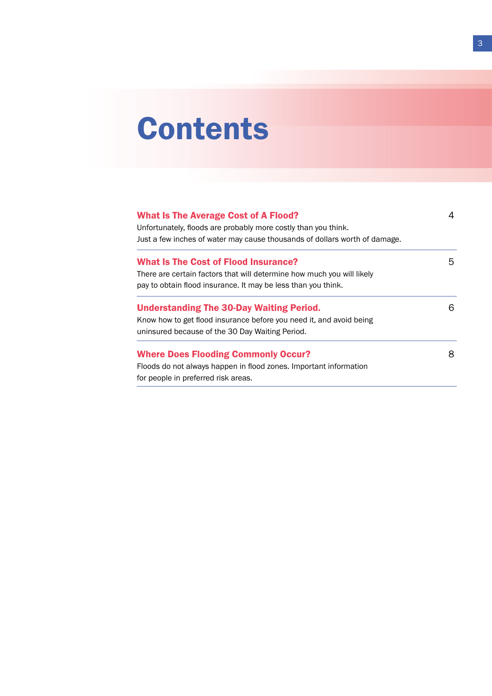# **Contents**

| <b>What Is The Average Cost of A Flood?</b><br>Unfortunately, floods are probably more costly than you think.<br>Just a few inches of water may cause thousands of dollars worth of damage. | 4 |
|---------------------------------------------------------------------------------------------------------------------------------------------------------------------------------------------|---|
| <b>What Is The Cost of Flood Insurance?</b>                                                                                                                                                 | 5 |
| There are certain factors that will determine how much you will likely                                                                                                                      |   |
| pay to obtain flood insurance. It may be less than you think.                                                                                                                               |   |
| <b>Understanding The 30-Day Waiting Period.</b>                                                                                                                                             | 6 |
| Know how to get flood insurance before you need it, and avoid being                                                                                                                         |   |
| uninsured because of the 30 Day Waiting Period.                                                                                                                                             |   |
| <b>Where Does Flooding Commonly Occur?</b>                                                                                                                                                  | 8 |
| Floods do not always happen in flood zones. Important information                                                                                                                           |   |
| for people in preferred risk areas.                                                                                                                                                         |   |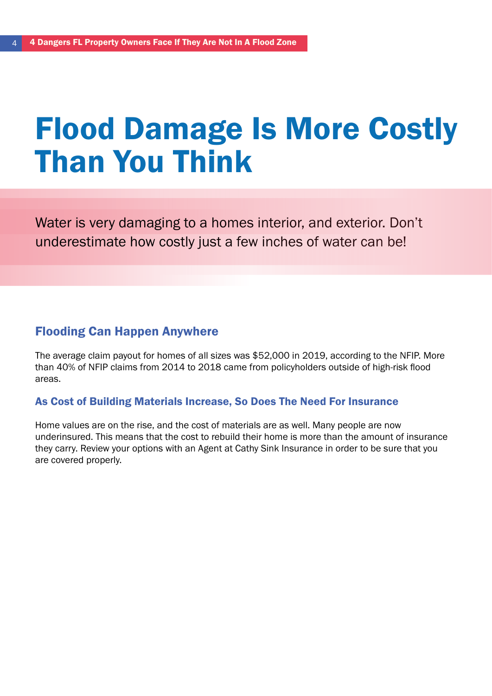## Flood Damage Is More Costly Than You Think

Water is very damaging to a homes interior, and exterior. Don't underestimate how costly just a few inches of water can be!

### Flooding Can Happen Anywhere

The average claim payout for homes of all sizes was \$52,000 in 2019, according to the NFIP. More than 40% of NFIP claims from 2014 to 2018 came from policyholders outside of high-risk flood areas.

#### As Cost of Building Materials Increase, So Does The Need For Insurance

Home values are on the rise, and the cost of materials are as well. Many people are now underinsured. This means that the cost to rebuild their home is more than the amount of insurance they carry. Review your options with an Agent at Cathy Sink Insurance in order to be sure that you are covered properly.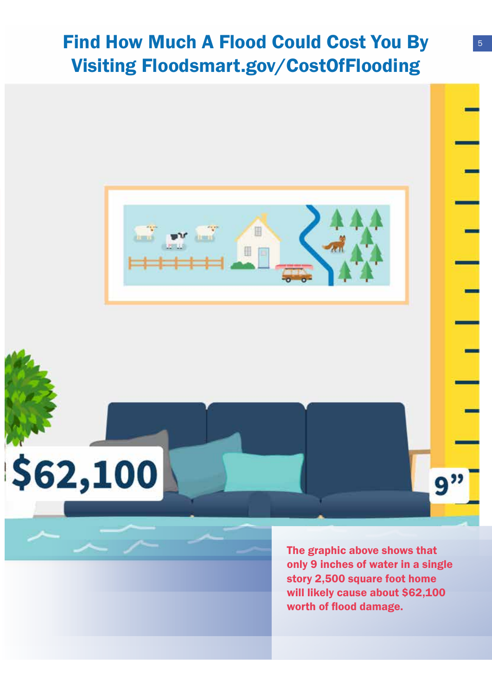### Find How Much A Flood Could Cost You By 5 Visiting Floodsmart.gov/CostOfFlooding



\$62,100

The graphic above shows that only 9 inches of water in a single story 2,500 square foot home will likely cause about \$62,100 worth of flood damage.

9"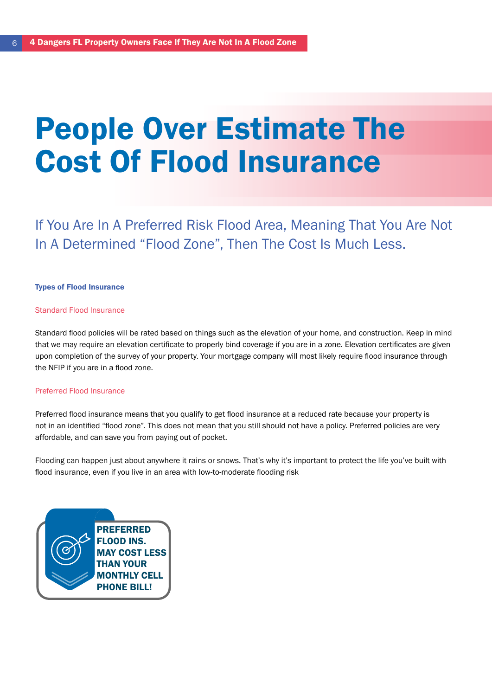## People Over Estimate The Cost Of Flood Insurance

If You Are In A Preferred Risk Flood Area, Meaning That You Are Not In A Determined "Flood Zone", Then The Cost Is Much Less.

#### Types of Flood Insurance

#### Standard Flood Insurance

Standard flood policies will be rated based on things such as the elevation of your home, and construction. Keep in mind that we may require an elevation certificate to properly bind coverage if you are in a zone. Elevation certificates are given upon completion of the survey of your property. Your mortgage company will most likely require flood insurance through the NFIP if you are in a flood zone.

#### Preferred Flood Insurance

Preferred flood insurance means that you qualify to get flood insurance at a reduced rate because your property is not in an identified "flood zone". This does not mean that you still should not have a policy. Preferred policies are very affordable, and can save you from paying out of pocket.

Flooding can happen just about anywhere it rains or snows. That's why it's important to protect the life you've built with flood insurance, even if you live in an area with low-to-moderate flooding risk

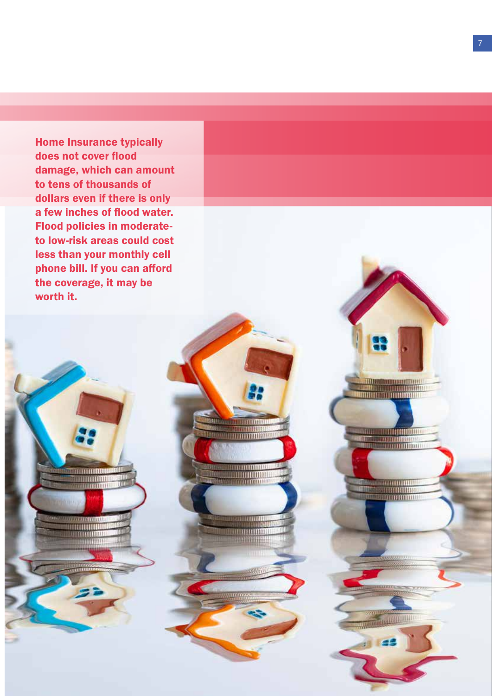Home Insurance typically does not cover flood damage, which can amount to tens of thousands of dollars even if there is only a few inches of flood water. Flood policies in moderateto low-risk areas could cost less than your monthly cell phone bill. If you can afford the coverage, it may be worth it.

> **TITUTHORU** <u> Androim</u>

**DOUGLA** 

<u> Hilling</u>

milli

湔

**TO ANGELER DE L'ANGELIA DE L'ANGELIA DE L'ANGELIA DE L'ANGELIA DE L'ANGELIA DE L'ANGELIA DE L'ANGELIA DE L'ANG** 

<u> Albuminum Mari</u>

**TATALOONIA** 

39000000000

**TANK CONTINUE** 

<u>ang pangangang</u>

**TITTI** 

22

**University of American Division** 

a a comunica

**THEFT** 

**THERE ENDING** 

www.com

<u>mmun</u>

**TERRILL**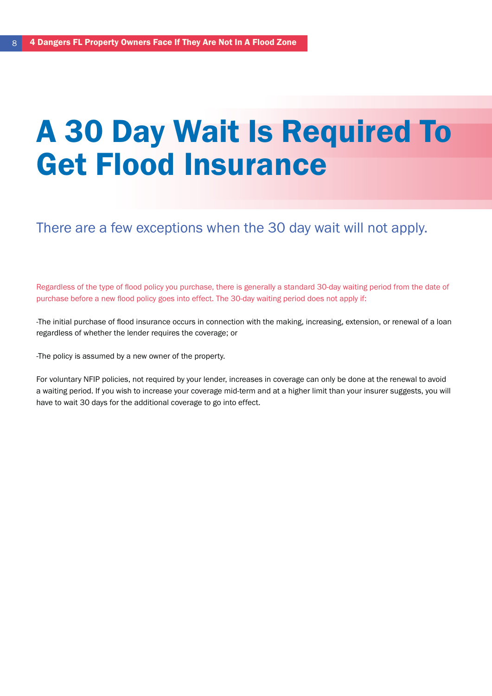## A 30 Day Wait Is Required To Get Flood Insurance

There are a few exceptions when the 30 day wait will not apply.

Regardless of the type of flood policy you purchase, there is generally a standard 30-day waiting period from the date of purchase before a new flood policy goes into effect. The 30-day waiting period does not apply if:

-The initial purchase of flood insurance occurs in connection with the making, increasing, extension, or renewal of a loan regardless of whether the lender requires the coverage; or

-The policy is assumed by a new owner of the property.

For voluntary NFIP policies, not required by your lender, increases in coverage can only be done at the renewal to avoid a waiting period. If you wish to increase your coverage mid-term and at a higher limit than your insurer suggests, you will have to wait 30 days for the additional coverage to go into effect.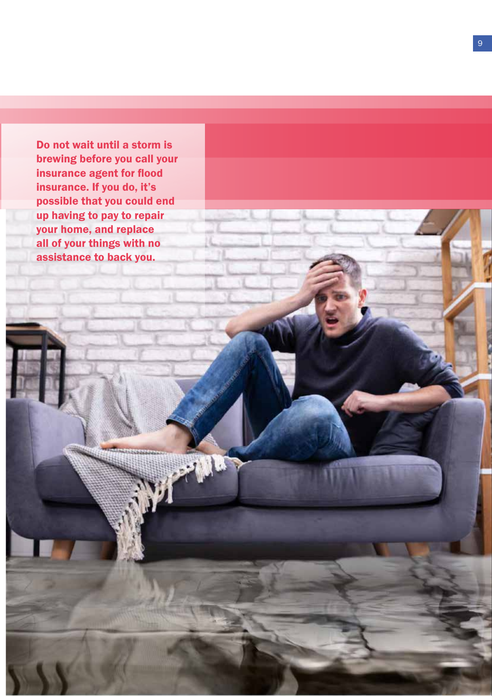Do not wait until a storm is brewing before you call your insurance agent for flood insurance. If you do, it's possible that you could end up having to pay to repair your home, and replace all of your things with no assistance to back you.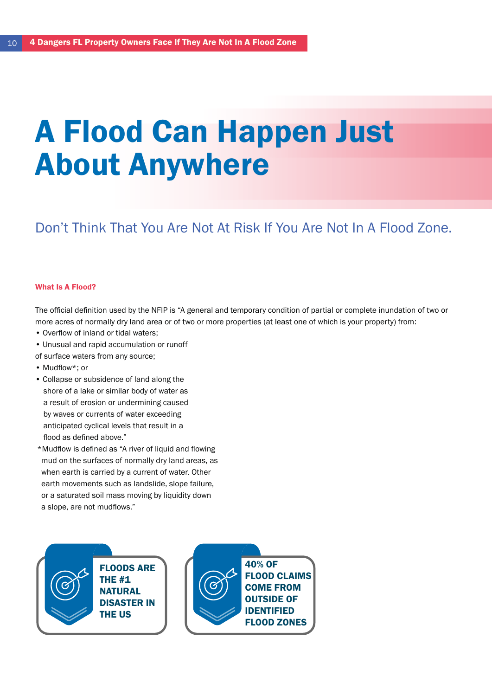## A Flood Can Happen Just About Anywhere

### Don't Think That You Are Not At Risk If You Are Not In A Flood Zone.

#### What Is **A** Flood?

The official definition used by the NFIP is "A general and temporary condition of partial or complete inundation of two or more acres of normally dry land area or of two or more properties (at least one of which is your property) from:

- Overflow of inland or tidal waters;
- Unusual and rapid accumulation or runoff
- of surface waters from any source;
- Mudflow\*; or
- Collapse or subsidence of land along the shore of a lake or similar body of water as a result of erosion or undermining caused by waves or currents of water exceeding anticipated cyclical levels that result in a flood as defined above."
- \*Mudflow is defined as "A river of liquid and flowing mud on the surfaces of normally dry land areas, as when earth is carried by a current of water. Other earth movements such as landslide, slope failure, or a saturated soil mass moving by liquidity down a slope, are not mudflows."

FLOODS ARE THE #1 **NATURAL** DISASTER IN THE US